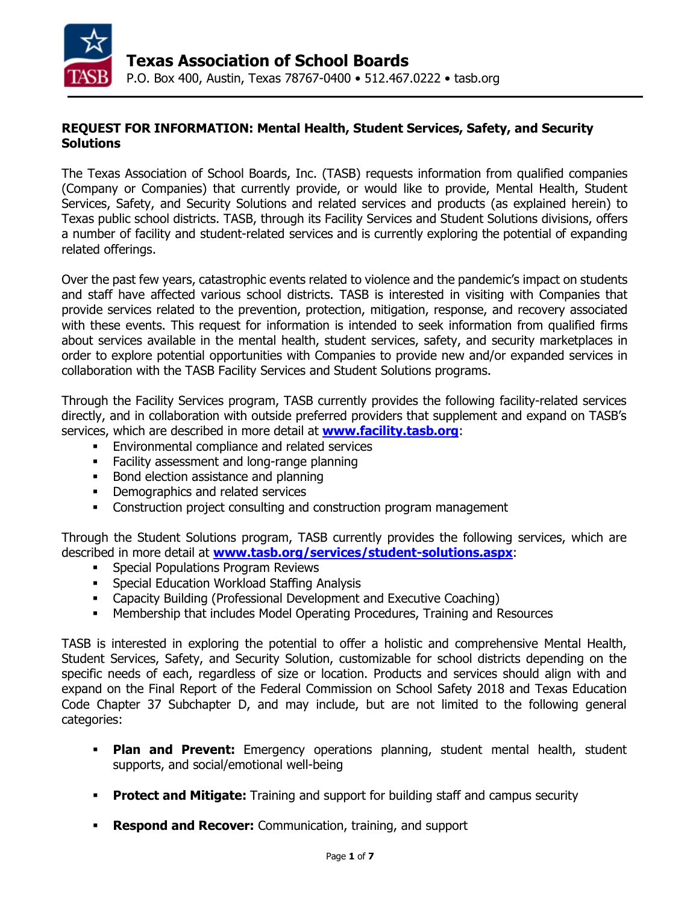

### **REQUEST FOR INFORMATION: Mental Health, Student Services, Safety, and Security Solutions**

The Texas Association of School Boards, Inc. (TASB) requests information from qualified companies (Company or Companies) that currently provide, or would like to provide, Mental Health, Student Services, Safety, and Security Solutions and related services and products (as explained herein) to Texas public school districts. TASB, through its Facility Services and Student Solutions divisions, offers a number of facility and student-related services and is currently exploring the potential of expanding related offerings.

Over the past few years, catastrophic events related to violence and the pandemic's impact on students and staff have affected various school districts. TASB is interested in visiting with Companies that provide services related to the prevention, protection, mitigation, response, and recovery associated with these events. This request for information is intended to seek information from qualified firms about services available in the mental health, student services, safety, and security marketplaces in order to explore potential opportunities with Companies to provide new and/or expanded services in collaboration with the TASB Facility Services and Student Solutions programs.

Through the Facility Services program, TASB currently provides the following facility-related services directly, and in collaboration with outside preferred providers that supplement and expand on TASB's services, which are described in more detail at **www.facility.tasb.org**:

- Environmental compliance and related services
- **Facility assessment and long-range planning**
- Bond election assistance and planning
- **•** Demographics and related services
- **Construction project consulting and construction program management**

Through the Student Solutions program, TASB currently provides the following services, which are described in more detail at **[www.tasb.org/services/student-solutions.aspx](http://www.tasb.org/services/student-solutions.aspx)**:

- **Special Populations Program Reviews**
- **Special Education Workload Staffing Analysis**
- **-** Capacity Building (Professional Development and Executive Coaching)
- Membership that includes Model Operating Procedures, Training and Resources

TASB is interested in exploring the potential to offer a holistic and comprehensive Mental Health, Student Services, Safety, and Security Solution, customizable for school districts depending on the specific needs of each, regardless of size or location. Products and services should align with and expand on the Final Report of the Federal Commission on School Safety 2018 and Texas Education Code Chapter 37 Subchapter D, and may include, but are not limited to the following general categories:

- **Plan and Prevent:** Emergency operations planning, student mental health, student supports, and social/emotional well-being
- **Protect and Mitigate:** Training and support for building staff and campus security
- **Respond and Recover:** Communication, training, and support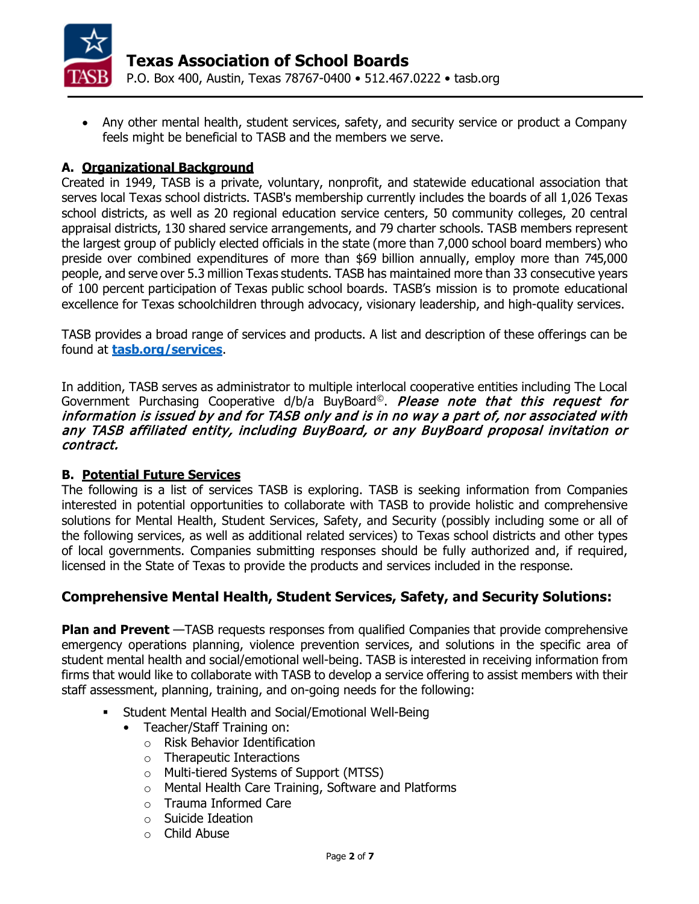

• Any other mental health, student services, safety, and security service or product a Company feels might be beneficial to TASB and the members we serve.

### **A. Organizational Background**

Created in 1949, TASB is a private, voluntary, nonprofit, and statewide educational association that serves local Texas school districts. TASB's membership currently includes the boards of all 1,026 Texas school districts, as well as 20 regional education service centers, 50 community colleges, 20 central appraisal districts, 130 shared service arrangements, and 79 charter schools. TASB members represent the largest group of publicly elected officials in the state (more than 7,000 school board members) who preside over combined expenditures of more than \$69 billion annually, employ more than 745,000 people, and serve over 5.3 million Texas students. TASB has maintained more than 33 consecutive years of 100 percent participation of Texas public school boards. TASB's mission is to promote educational excellence for Texas schoolchildren through advocacy, visionary leadership, and high-quality services.

TASB provides a broad range of services and products. A list and description of these offerings can be found at **[tasb.org/services](http://tasb.org/services)**.

In addition, TASB serves as administrator to multiple interlocal cooperative entities including The Local Government Purchasing Cooperative d/b/a BuyBoard<sup>©</sup>. *Please note that this request for* information is issued by and for TASB only and is in no way a part of, nor associated with any TASB affiliated entity, including BuyBoard, or any BuyBoard proposal invitation or contract.

### **B. Potential Future Services**

The following is a list of services TASB is exploring. TASB is seeking information from Companies interested in potential opportunities to collaborate with TASB to provide holistic and comprehensive solutions for Mental Health, Student Services, Safety, and Security (possibly including some or all of the following services, as well as additional related services) to Texas school districts and other types of local governments. Companies submitting responses should be fully authorized and, if required, licensed in the State of Texas to provide the products and services included in the response.

## **Comprehensive Mental Health, Student Services, Safety, and Security Solutions:**

**Plan and Prevent** —TASB requests responses from qualified Companies that provide comprehensive emergency operations planning, violence prevention services, and solutions in the specific area of student mental health and social/emotional well-being. TASB is interested in receiving information from firms that would like to collaborate with TASB to develop a service offering to assist members with their staff assessment, planning, training, and on-going needs for the following:

- Student Mental Health and Social/Emotional Well-Being
	- Teacher/Staff Training on:
		- o Risk Behavior Identification
		- o Therapeutic Interactions
		- o Multi-tiered Systems of Support (MTSS)
		- o Mental Health Care Training, Software and Platforms
		- o Trauma Informed Care
		- o Suicide Ideation
		- o Child Abuse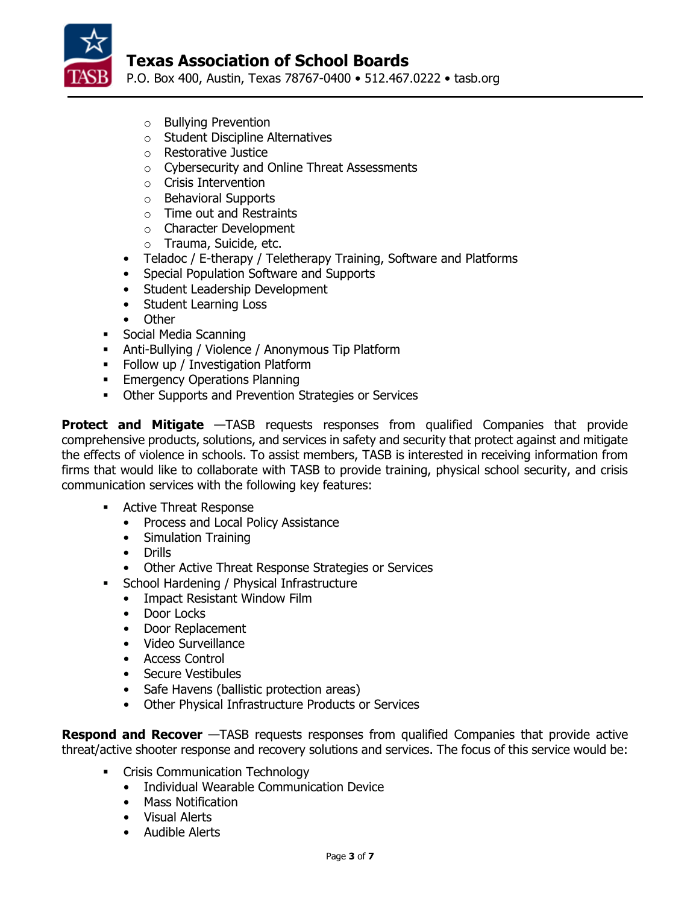

P.O. Box 400, Austin, Texas 78767-0400 • 512.467.0222 • tasb.org

- o Bullying Prevention
- o Student Discipline Alternatives
- o Restorative Justice
- o Cybersecurity and Online Threat Assessments
- o Crisis Intervention
- o Behavioral Supports
- o Time out and Restraints
- o Character Development
- o Trauma, Suicide, etc.
- Teladoc / E-therapy / Teletherapy Training, Software and Platforms
- Special Population Software and Supports
- Student Leadership Development
- Student Learning Loss<br>• Other
- **Other**
- **Social Media Scanning**
- Anti-Bullying / Violence / Anonymous Tip Platform
- **Follow up / Investigation Platform**
- **Emergency Operations Planning**
- **Other Supports and Prevention Strategies or Services**

**Protect and Mitigate** —TASB requests responses from qualified Companies that provide comprehensive products, solutions, and services in safety and security that protect against and mitigate the effects of violence in schools. To assist members, TASB is interested in receiving information from firms that would like to collaborate with TASB to provide training, physical school security, and crisis communication services with the following key features:

- **Active Threat Response** 
	- Process and Local Policy Assistance
	- Simulation Training
	- Drills
	- Other Active Threat Response Strategies or Services
- **School Hardening / Physical Infrastructure** 
	- Impact Resistant Window Film
	- Door Locks
	- Door Replacement
	- Video Surveillance
	- Access Control
	- Secure Vestibules
	- Safe Havens (ballistic protection areas)
	- Other Physical Infrastructure Products or Services

**Respond and Recover** —TASB requests responses from qualified Companies that provide active threat/active shooter response and recovery solutions and services. The focus of this service would be:

- **•** Crisis Communication Technology
	- Individual Wearable Communication Device
	- Mass Notification
	- Visual Alerts
	- Audible Alerts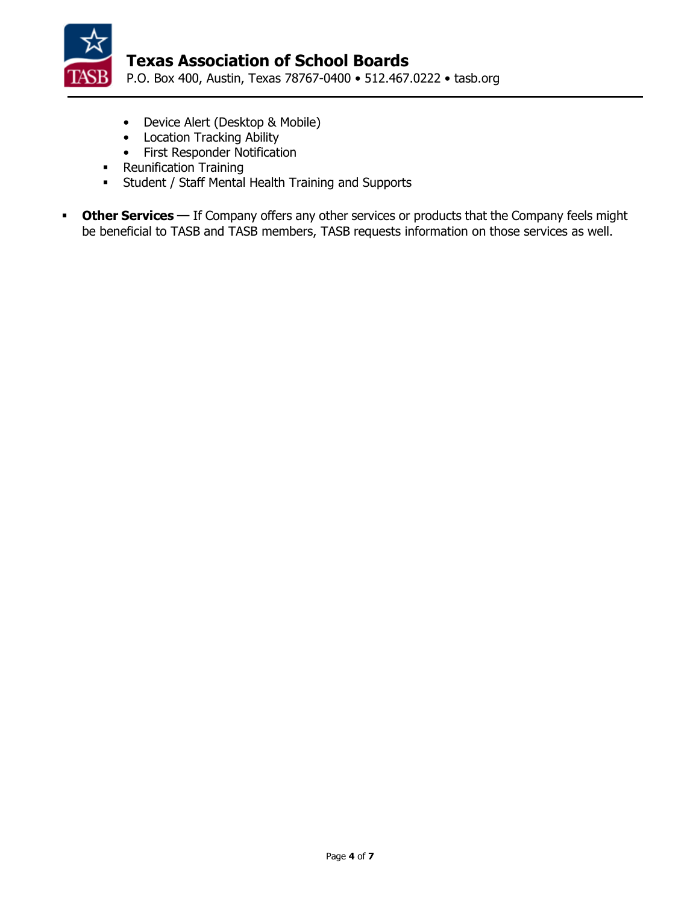

- Device Alert (Desktop & Mobile)
- Location Tracking Ability
- First Responder Notification
- Reunification Training
- **-** Student / Staff Mental Health Training and Supports
- **Other Services** If Company offers any other services or products that the Company feels might be beneficial to TASB and TASB members, TASB requests information on those services as well.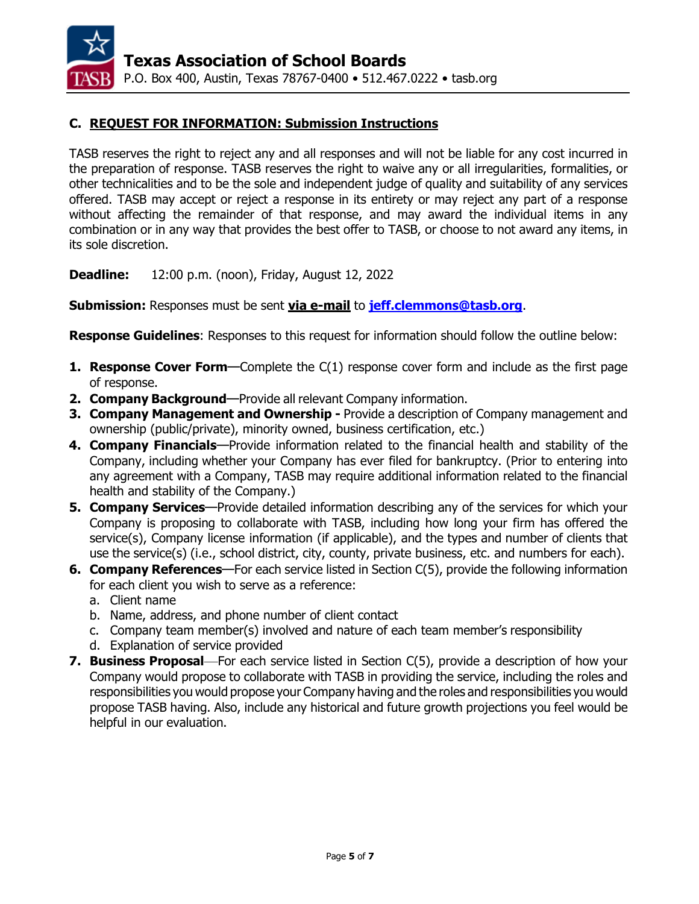

### **C. REQUEST FOR INFORMATION: Submission Instructions**

TASB reserves the right to reject any and all responses and will not be liable for any cost incurred in the preparation of response. TASB reserves the right to waive any or all irregularities, formalities, or other technicalities and to be the sole and independent judge of quality and suitability of any services offered. TASB may accept or reject a response in its entirety or may reject any part of a response without affecting the remainder of that response, and may award the individual items in any combination or in any way that provides the best offer to TASB, or choose to not award any items, in its sole discretion.

**Deadline:** 12:00 p.m. (noon), Friday, August 12, 2022

**Submission:** Responses must be sent **via e-mail** to **[jeff.clemmons@tasb.org](mailto:jeff.clemmons@tasb.org)**.

**Response Guidelines**: Responses to this request for information should follow the outline below:

- **1. Response Cover Form**—Complete the C(1) response cover form and include as the first page of response.
- **2. Company Background**—Provide all relevant Company information.
- **3. Company Management and Ownership -** Provide a description of Company management and ownership (public/private), minority owned, business certification, etc.)
- **4. Company Financials**—Provide information related to the financial health and stability of the Company, including whether your Company has ever filed for bankruptcy. (Prior to entering into any agreement with a Company, TASB may require additional information related to the financial health and stability of the Company.)
- **5. Company Services**—Provide detailed information describing any of the services for which your Company is proposing to collaborate with TASB, including how long your firm has offered the service(s), Company license information (if applicable), and the types and number of clients that use the service(s) (i.e., school district, city, county, private business, etc. and numbers for each).
- **6. Company References**—For each service listed in Section C(5), provide the following information for each client you wish to serve as a reference:
	- a. Client name
	- b. Name, address, and phone number of client contact
	- c. Company team member(s) involved and nature of each team member's responsibility
	- d. Explanation of service provided
- **7. Business Proposal**—For each service listed in Section C(5), provide a description of how your Company would propose to collaborate with TASB in providing the service, including the roles and responsibilities you would propose your Company having and the roles and responsibilities you would propose TASB having. Also, include any historical and future growth projections you feel would be helpful in our evaluation.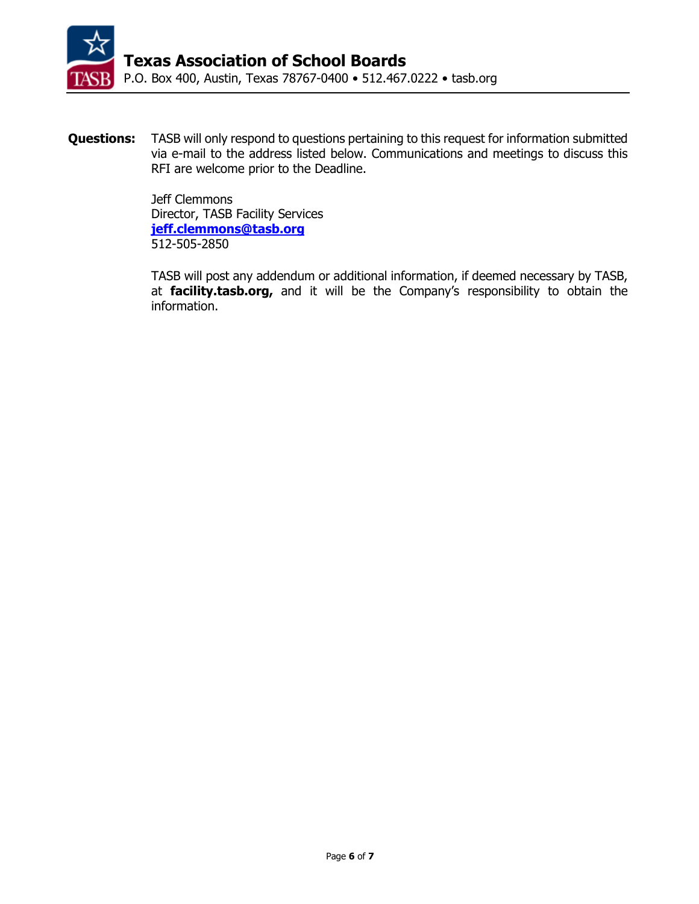

**Questions:** TASB will only respond to questions pertaining to this request for information submitted via e-mail to the address listed below. Communications and meetings to discuss this RFI are welcome prior to the Deadline.

> Jeff Clemmons Director, TASB Facility Services **[jeff.clemmons@tasb.org](mailto:jeff.clemmons@tasb.org)** 512-505-2850

TASB will post any addendum or additional information, if deemed necessary by TASB, at **facility.tasb.org,** and it will be the Company's responsibility to obtain the information.